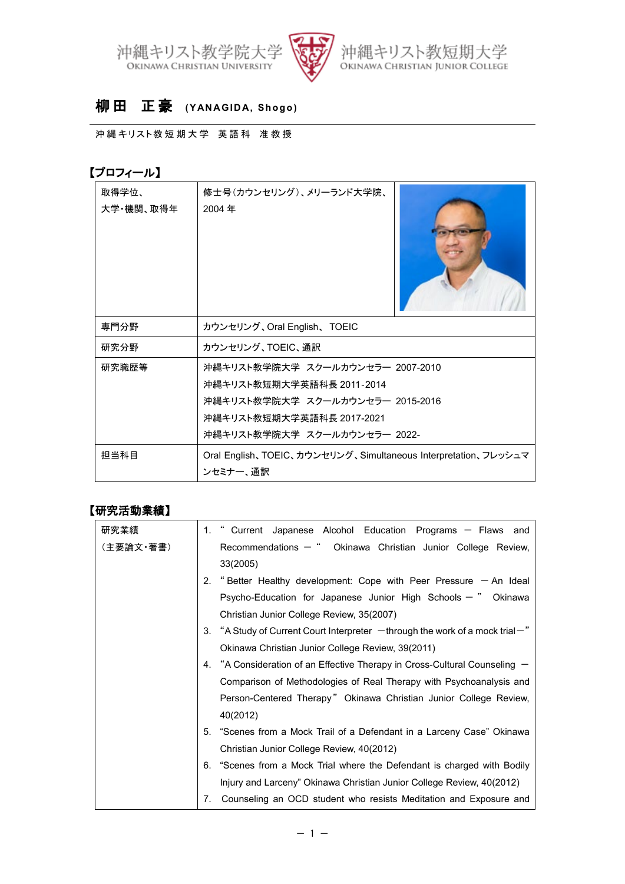



## 柳 田 正 豪 **(YANAGIDA, Shogo)**

沖縄キリスト教短期大学 英語科 准教授

## 【プロフィール】

| 取得学位、<br>大学・機関、取得年 | 修士号(カウンセリング)、メリーランド大学院、<br>2004年                                                                                                                               |  |
|--------------------|----------------------------------------------------------------------------------------------------------------------------------------------------------------|--|
| 専門分野               | カウンセリング、Oral English、TOEIC                                                                                                                                     |  |
| 研究分野               | カウンセリング、TOEIC、通訳                                                                                                                                               |  |
| 研究職歴等              | 沖縄キリスト教学院大学 スクールカウンセラー 2007-2010<br>沖縄キリスト教短期大学英語科長 2011-2014<br>沖縄キリスト教学院大学 スクールカウンセラー 2015-2016<br>沖縄キリスト教短期大学英語科長 2017-2021<br>沖縄キリスト教学院大学 スクールカウンセラー 2022- |  |
| 担当科目               | Oral English、TOEIC、カウンセリング、Simultaneous Interpretation、フレッシュマ<br>ンセミナー、通訳                                                                                      |  |

## 【研究活動業績】

| 研究業績      | 1. " Current Japanese Alcohol Education Programs - Flaws and                        |  |
|-----------|-------------------------------------------------------------------------------------|--|
| (主要論文・著書) | Recommendations $-$ " Okinawa Christian Junior College Review,                      |  |
|           | 33(2005)                                                                            |  |
|           | 2. "Better Healthy development: Cope with Peer Pressure - An Ideal                  |  |
|           | Psycho-Education for Japanese Junior High Schools $-$ " Okinawa                     |  |
|           | Christian Junior College Review, 35(2007)                                           |  |
|           | 3. "A Study of Current Court Interpreter $-$ through the work of a mock trial $-$ " |  |
|           | Okinawa Christian Junior College Review, 39(2011)                                   |  |
|           | 4. "A Consideration of an Effective Therapy in Cross-Cultural Counseling -          |  |
|           | Comparison of Methodologies of Real Therapy with Psychoanalysis and                 |  |
|           | Person-Centered Therapy" Okinawa Christian Junior College Review,                   |  |
|           | 40(2012)                                                                            |  |
|           | 5. "Scenes from a Mock Trail of a Defendant in a Larceny Case" Okinawa              |  |
|           | Christian Junior College Review, 40(2012)                                           |  |
|           | 6. "Scenes from a Mock Trial where the Defendant is charged with Bodily             |  |
|           | Injury and Larceny" Okinawa Christian Junior College Review, 40(2012)               |  |
|           | Counseling an OCD student who resists Meditation and Exposure and<br>7.             |  |